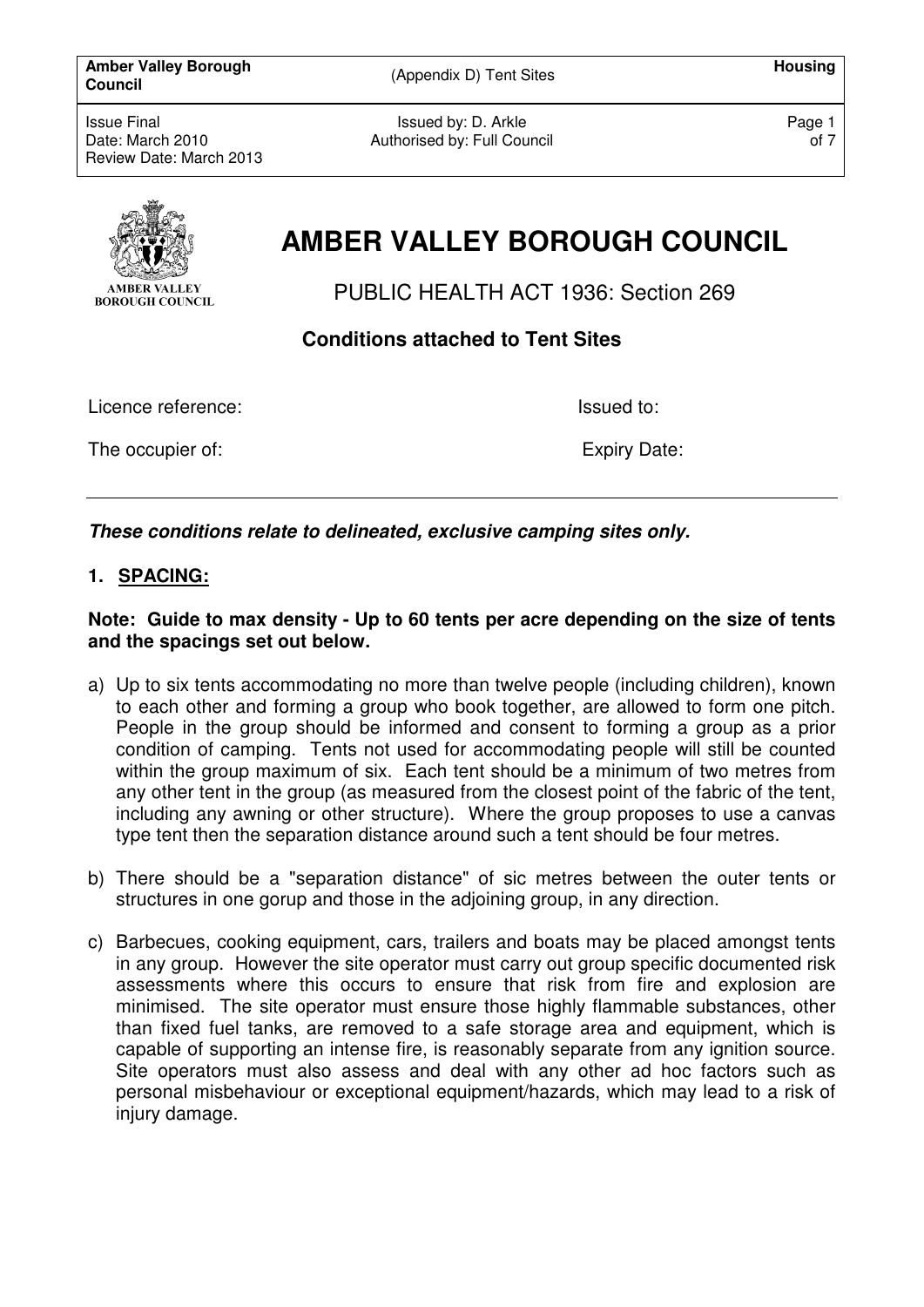**Amber Valley Borough**  Amber Valley Borough **Matures (Appendix D)** Tent Sites **All and Structure Council Housing Council** 

Issue Final Date: March 2010 Review Date: March 2013

Issued by: D. Arkle Authorised by: Full Council Page 1 of 7



# **AMBER VALLEY BOROUGH COUNCIL**

PUBLIC HEALTH ACT 1936: Section 269

**Conditions attached to Tent Sites** 

Licence reference:  $\qquad \qquad$  Issued to:

The occupier of: Expiry Date: Expiry Date:

**These conditions relate to delineated, exclusive camping sites only.** 

# **1. SPACING:**

**Note: Guide to max density - Up to 60 tents per acre depending on the size of tents and the spacings set out below.** 

- a) Up to six tents accommodating no more than twelve people (including children), known to each other and forming a group who book together, are allowed to form one pitch. People in the group should be informed and consent to forming a group as a prior condition of camping. Tents not used for accommodating people will still be counted within the group maximum of six. Each tent should be a minimum of two metres from any other tent in the group (as measured from the closest point of the fabric of the tent, including any awning or other structure). Where the group proposes to use a canvas type tent then the separation distance around such a tent should be four metres.
- b) There should be a "separation distance" of sic metres between the outer tents or structures in one gorup and those in the adjoining group, in any direction.
- c) Barbecues, cooking equipment, cars, trailers and boats may be placed amongst tents in any group. However the site operator must carry out group specific documented risk assessments where this occurs to ensure that risk from fire and explosion are minimised. The site operator must ensure those highly flammable substances, other than fixed fuel tanks, are removed to a safe storage area and equipment, which is capable of supporting an intense fire, is reasonably separate from any ignition source. Site operators must also assess and deal with any other ad hoc factors such as personal misbehaviour or exceptional equipment/hazards, which may lead to a risk of injury damage.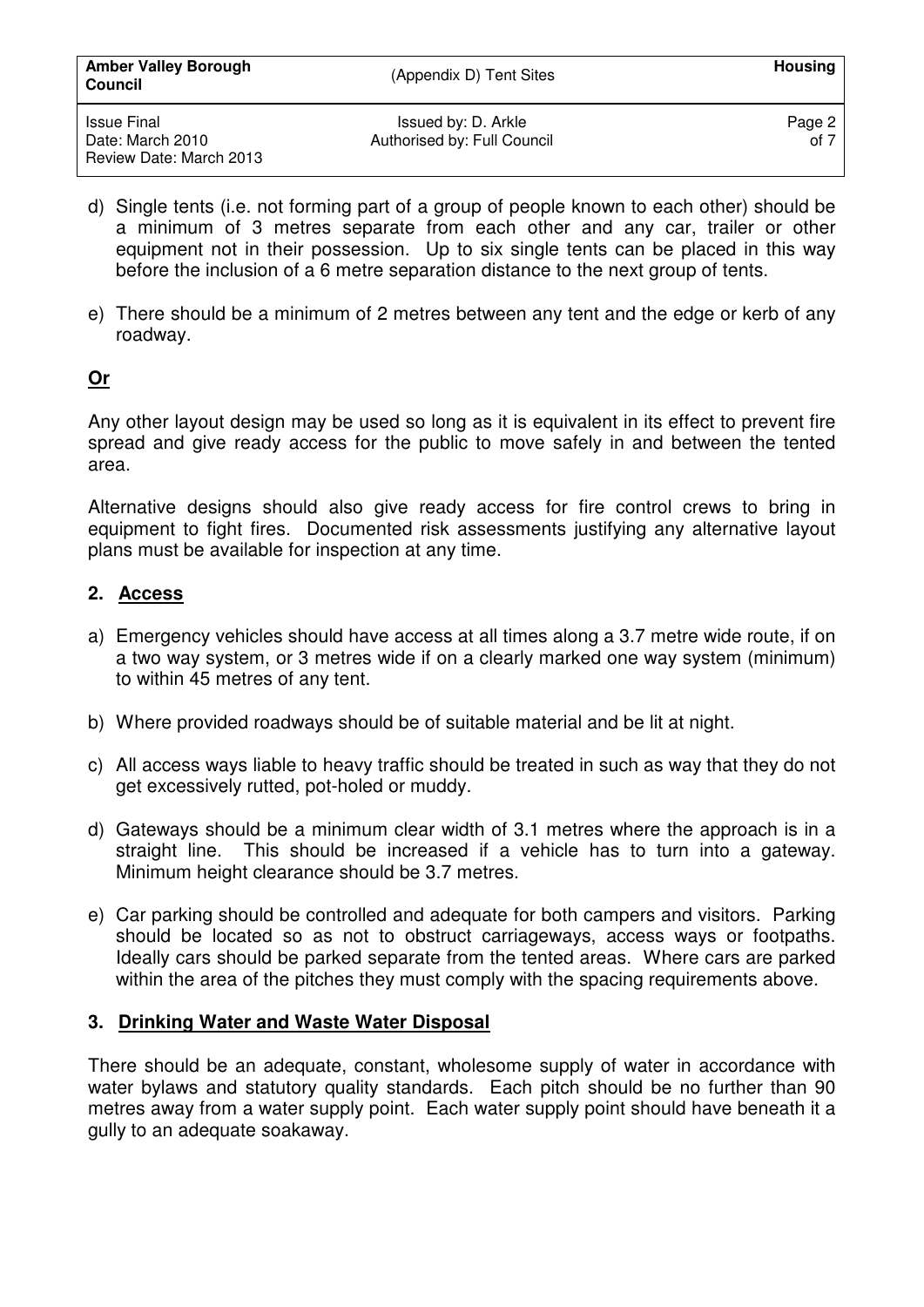| <b>Amber Valley Borough</b><br><b>Council</b> | (Appendix D) Tent Sites                            | Housing          |
|-----------------------------------------------|----------------------------------------------------|------------------|
| Issue Final<br>Date: March 2010               | Issued by: D. Arkle<br>Authorised by: Full Council | Page 2<br>of $7$ |
| Review Date: March 2013                       |                                                    |                  |

- d) Single tents (i.e. not forming part of a group of people known to each other) should be a minimum of 3 metres separate from each other and any car, trailer or other equipment not in their possession. Up to six single tents can be placed in this way before the inclusion of a 6 metre separation distance to the next group of tents.
- e) There should be a minimum of 2 metres between any tent and the edge or kerb of any roadway.

## **Or**

Any other layout design may be used so long as it is equivalent in its effect to prevent fire spread and give ready access for the public to move safely in and between the tented area.

Alternative designs should also give ready access for fire control crews to bring in equipment to fight fires. Documented risk assessments justifying any alternative layout plans must be available for inspection at any time.

## **2. Access**

- a) Emergency vehicles should have access at all times along a 3.7 metre wide route, if on a two way system, or 3 metres wide if on a clearly marked one way system (minimum) to within 45 metres of any tent.
- b) Where provided roadways should be of suitable material and be lit at night.
- c) All access ways liable to heavy traffic should be treated in such as way that they do not get excessively rutted, pot-holed or muddy.
- d) Gateways should be a minimum clear width of 3.1 metres where the approach is in a straight line. This should be increased if a vehicle has to turn into a gateway. Minimum height clearance should be 3.7 metres.
- e) Car parking should be controlled and adequate for both campers and visitors. Parking should be located so as not to obstruct carriageways, access ways or footpaths. Ideally cars should be parked separate from the tented areas. Where cars are parked within the area of the pitches they must comply with the spacing requirements above.

#### **3. Drinking Water and Waste Water Disposal**

There should be an adequate, constant, wholesome supply of water in accordance with water bylaws and statutory quality standards. Each pitch should be no further than 90 metres away from a water supply point. Each water supply point should have beneath it a gully to an adequate soakaway.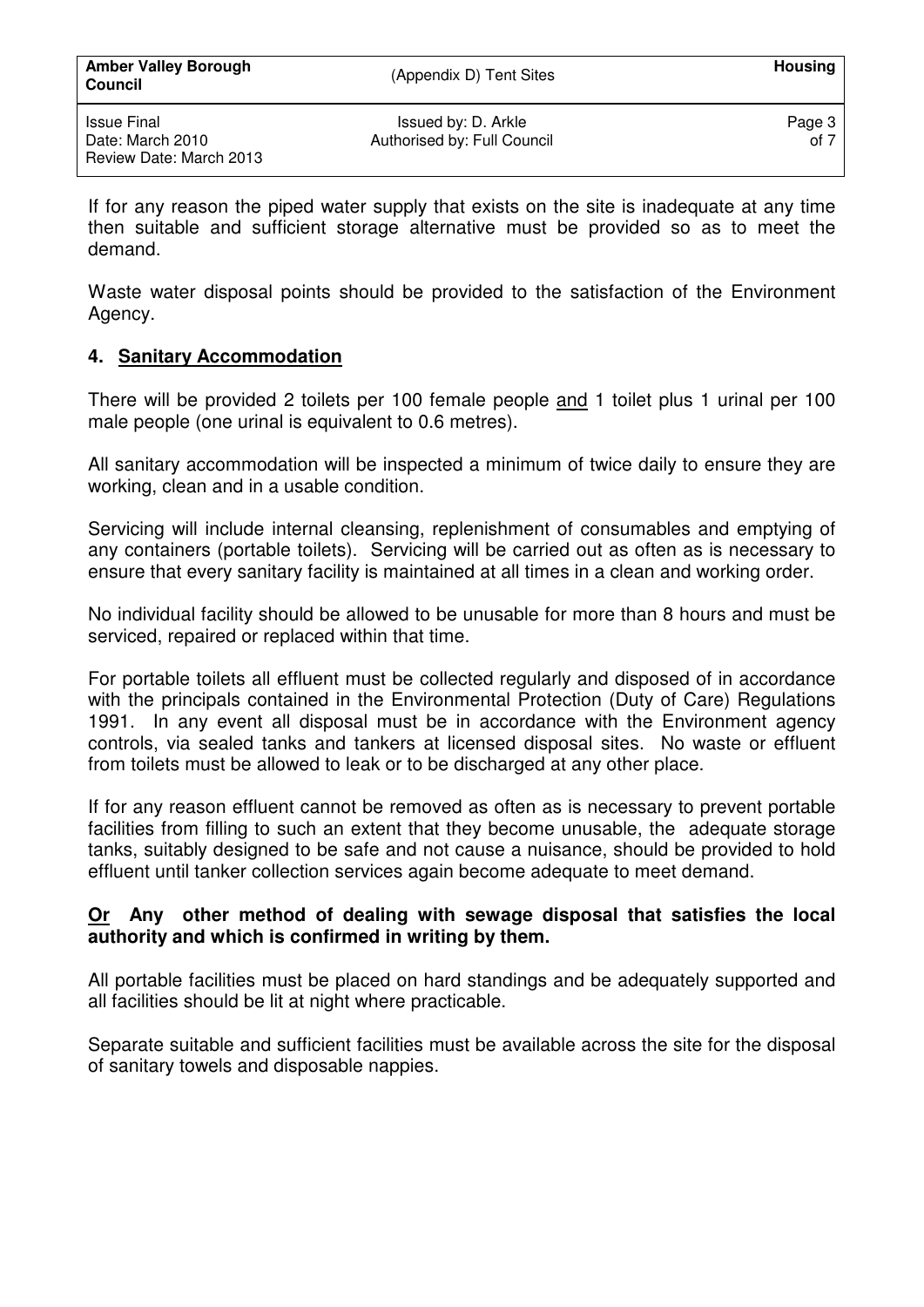If for any reason the piped water supply that exists on the site is inadequate at any time then suitable and sufficient storage alternative must be provided so as to meet the demand.

Waste water disposal points should be provided to the satisfaction of the Environment Agency.

# **4. Sanitary Accommodation**

There will be provided 2 toilets per 100 female people and 1 toilet plus 1 urinal per 100 male people (one urinal is equivalent to 0.6 metres).

All sanitary accommodation will be inspected a minimum of twice daily to ensure they are working, clean and in a usable condition.

Servicing will include internal cleansing, replenishment of consumables and emptying of any containers (portable toilets). Servicing will be carried out as often as is necessary to ensure that every sanitary facility is maintained at all times in a clean and working order.

No individual facility should be allowed to be unusable for more than 8 hours and must be serviced, repaired or replaced within that time.

For portable toilets all effluent must be collected regularly and disposed of in accordance with the principals contained in the Environmental Protection (Duty of Care) Regulations 1991. In any event all disposal must be in accordance with the Environment agency controls, via sealed tanks and tankers at licensed disposal sites. No waste or effluent from toilets must be allowed to leak or to be discharged at any other place.

If for any reason effluent cannot be removed as often as is necessary to prevent portable facilities from filling to such an extent that they become unusable, the adequate storage tanks, suitably designed to be safe and not cause a nuisance, should be provided to hold effluent until tanker collection services again become adequate to meet demand.

## **Or Any other method of dealing with sewage disposal that satisfies the local authority and which is confirmed in writing by them.**

All portable facilities must be placed on hard standings and be adequately supported and all facilities should be lit at night where practicable.

Separate suitable and sufficient facilities must be available across the site for the disposal of sanitary towels and disposable nappies.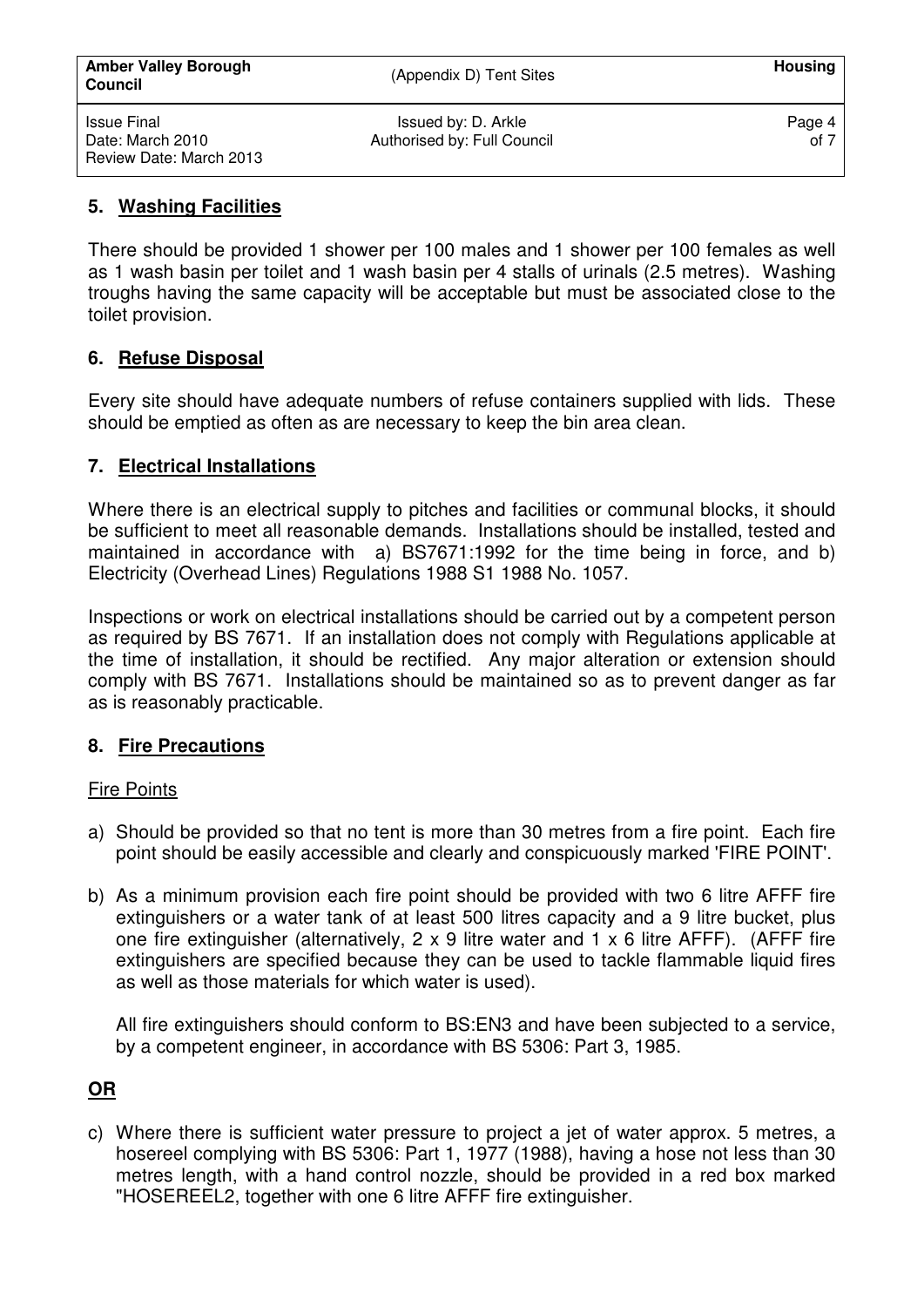#### **5. Washing Facilities**

There should be provided 1 shower per 100 males and 1 shower per 100 females as well as 1 wash basin per toilet and 1 wash basin per 4 stalls of urinals (2.5 metres). Washing troughs having the same capacity will be acceptable but must be associated close to the toilet provision.

## **6. Refuse Disposal**

Every site should have adequate numbers of refuse containers supplied with lids. These should be emptied as often as are necessary to keep the bin area clean.

## **7. Electrical Installations**

Where there is an electrical supply to pitches and facilities or communal blocks, it should be sufficient to meet all reasonable demands. Installations should be installed, tested and maintained in accordance with a) BS7671:1992 for the time being in force, and b) Electricity (Overhead Lines) Regulations 1988 S1 1988 No. 1057.

Inspections or work on electrical installations should be carried out by a competent person as required by BS 7671. If an installation does not comply with Regulations applicable at the time of installation, it should be rectified. Any major alteration or extension should comply with BS 7671. Installations should be maintained so as to prevent danger as far as is reasonably practicable.

# **8. Fire Precautions**

#### Fire Points

- a) Should be provided so that no tent is more than 30 metres from a fire point. Each fire point should be easily accessible and clearly and conspicuously marked 'FIRE POINT'.
- b) As a minimum provision each fire point should be provided with two 6 litre AFFF fire extinguishers or a water tank of at least 500 litres capacity and a 9 litre bucket, plus one fire extinguisher (alternatively, 2 x 9 litre water and 1 x 6 litre AFFF). (AFFF fire extinguishers are specified because they can be used to tackle flammable liquid fires as well as those materials for which water is used).

All fire extinguishers should conform to BS:EN3 and have been subjected to a service, by a competent engineer, in accordance with BS 5306: Part 3, 1985.

# **OR**

c) Where there is sufficient water pressure to project a jet of water approx. 5 metres, a hosereel complying with BS 5306: Part 1, 1977 (1988), having a hose not less than 30 metres length, with a hand control nozzle, should be provided in a red box marked "HOSEREEL2, together with one 6 litre AFFF fire extinguisher.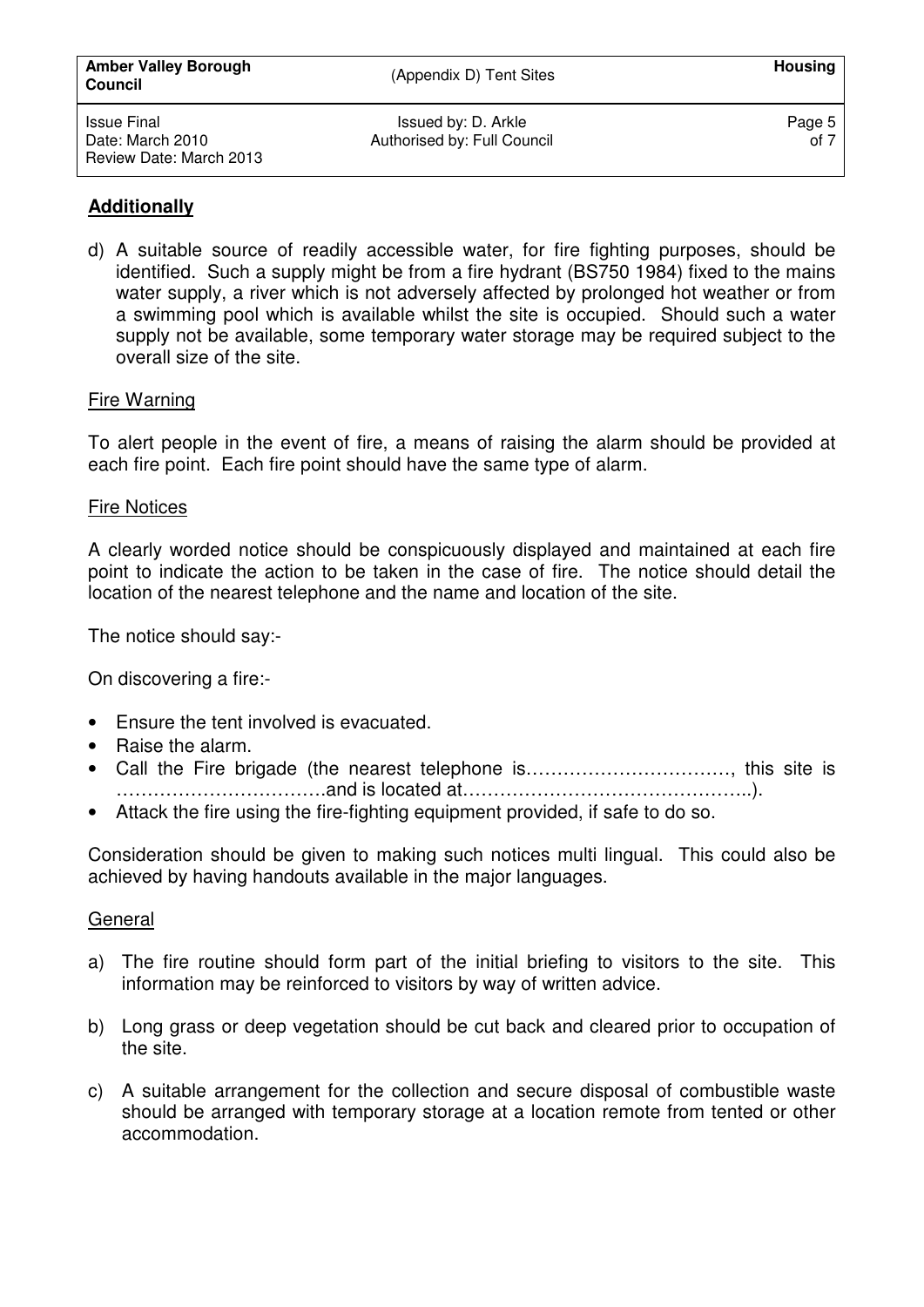## **Additionally**

d) A suitable source of readily accessible water, for fire fighting purposes, should be identified. Such a supply might be from a fire hydrant (BS750 1984) fixed to the mains water supply, a river which is not adversely affected by prolonged hot weather or from a swimming pool which is available whilst the site is occupied. Should such a water supply not be available, some temporary water storage may be required subject to the overall size of the site.

#### Fire Warning

To alert people in the event of fire, a means of raising the alarm should be provided at each fire point. Each fire point should have the same type of alarm.

#### Fire Notices

A clearly worded notice should be conspicuously displayed and maintained at each fire point to indicate the action to be taken in the case of fire. The notice should detail the location of the nearest telephone and the name and location of the site.

The notice should say:-

On discovering a fire:-

- Ensure the tent involved is evacuated.
- Raise the alarm.
- Call the Fire brigade (the nearest telephone is……………………………, this site is …………………………….and is located at………………………………………..).
- Attack the fire using the fire-fighting equipment provided, if safe to do so.

Consideration should be given to making such notices multi lingual. This could also be achieved by having handouts available in the major languages.

#### General

- a) The fire routine should form part of the initial briefing to visitors to the site. This information may be reinforced to visitors by way of written advice.
- b) Long grass or deep vegetation should be cut back and cleared prior to occupation of the site.
- c) A suitable arrangement for the collection and secure disposal of combustible waste should be arranged with temporary storage at a location remote from tented or other accommodation.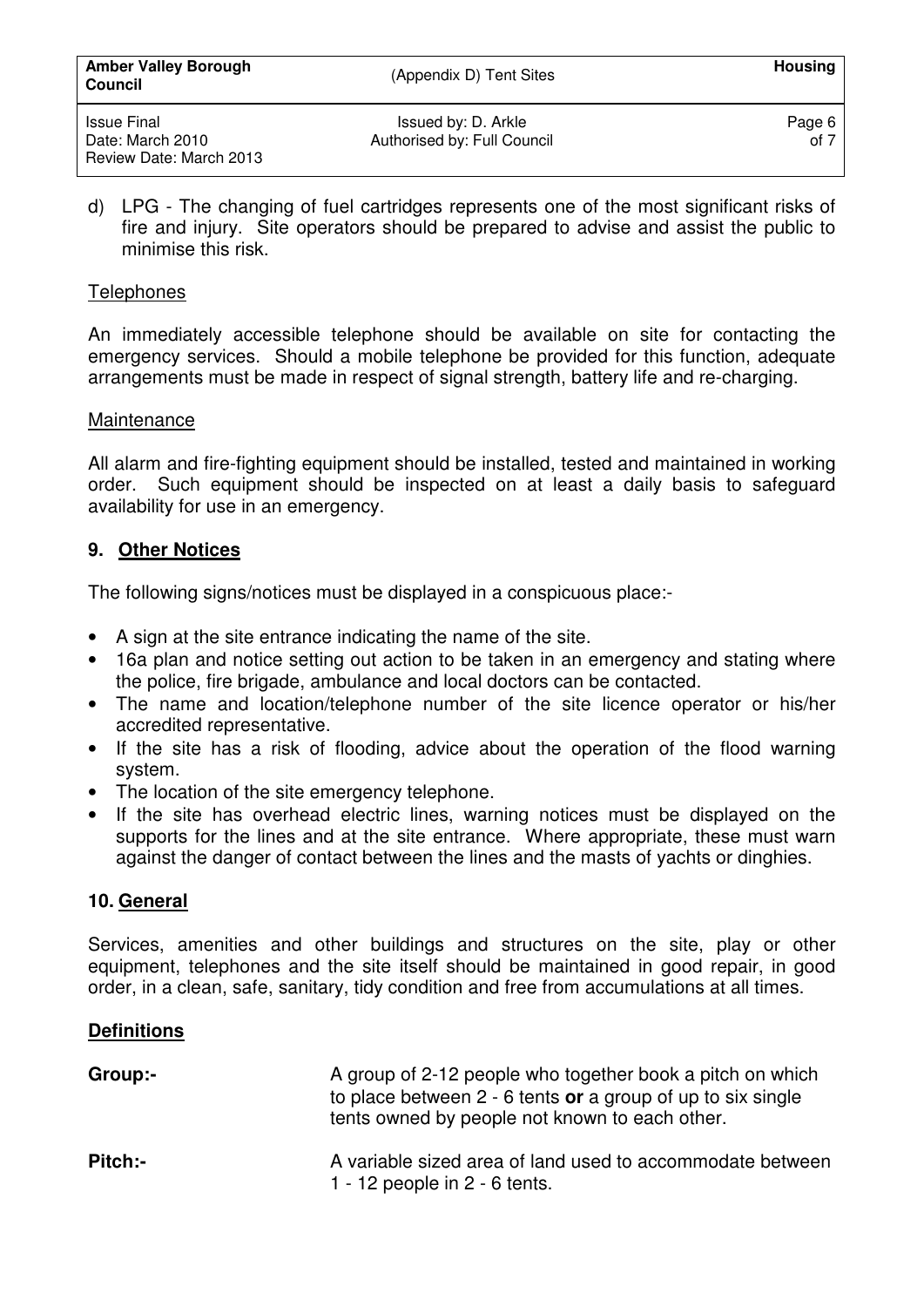d) LPG - The changing of fuel cartridges represents one of the most significant risks of fire and injury. Site operators should be prepared to advise and assist the public to minimise this risk.

Authorised by: Full Council

## **Telephones**

An immediately accessible telephone should be available on site for contacting the emergency services. Should a mobile telephone be provided for this function, adequate arrangements must be made in respect of signal strength, battery life and re-charging.

#### Maintenance

All alarm and fire-fighting equipment should be installed, tested and maintained in working order. Such equipment should be inspected on at least a daily basis to safeguard availability for use in an emergency.

# **9. Other Notices**

The following signs/notices must be displayed in a conspicuous place:-

- A sign at the site entrance indicating the name of the site.
- 16a plan and notice setting out action to be taken in an emergency and stating where the police, fire brigade, ambulance and local doctors can be contacted.
- The name and location/telephone number of the site licence operator or his/her accredited representative.
- If the site has a risk of flooding, advice about the operation of the flood warning system.
- The location of the site emergency telephone.
- If the site has overhead electric lines, warning notices must be displayed on the supports for the lines and at the site entrance. Where appropriate, these must warn against the danger of contact between the lines and the masts of yachts or dinghies.

# **10. General**

Services, amenities and other buildings and structures on the site, play or other equipment, telephones and the site itself should be maintained in good repair, in good order, in a clean, safe, sanitary, tidy condition and free from accumulations at all times.

# **Definitions**

| Group:-        | A group of 2-12 people who together book a pitch on which<br>to place between $2 - 6$ tents or a group of up to six single<br>tents owned by people not known to each other. |
|----------------|------------------------------------------------------------------------------------------------------------------------------------------------------------------------------|
| <b>Pitch:-</b> | A variable sized area of land used to accommodate between<br>1 - 12 people in $2 - 6$ tents.                                                                                 |